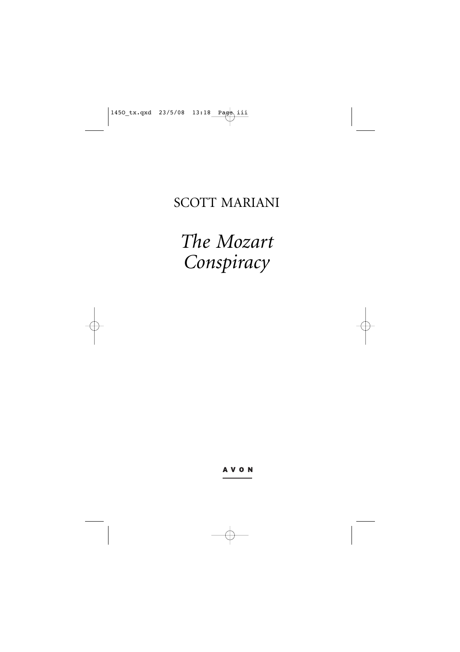## SCOTT MARIANI

*The Mozart Conspiracy*

## **AVON**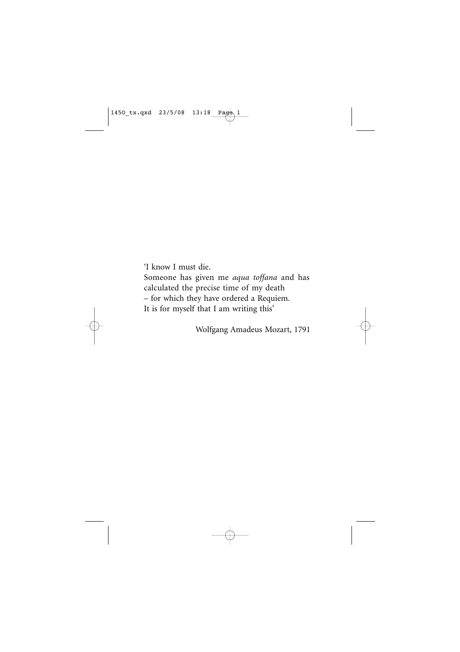'I know I must die.

Someone has given me *aqua toffana* and has calculated the precise time of my death – for which they have ordered a Requiem. It is for myself that I am writing this'

Wolfgang Amadeus Mozart, 1791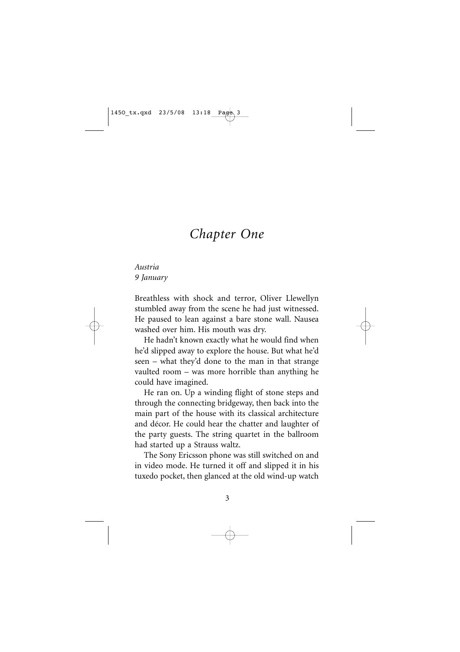## *Chapter One*

*Austria 9 January* 

Breathless with shock and terror, Oliver Llewellyn stumbled away from the scene he had just witnessed. He paused to lean against a bare stone wall. Nausea washed over him. His mouth was dry.

He hadn't known exactly what he would find when he'd slipped away to explore the house. But what he'd seen – what they'd done to the man in that strange vaulted room – was more horrible than anything he could have imagined.

He ran on. Up a winding flight of stone steps and through the connecting bridgeway, then back into the main part of the house with its classical architecture and décor. He could hear the chatter and laughter of the party guests. The string quartet in the ballroom had started up a Strauss waltz.

The Sony Ericsson phone was still switched on and in video mode. He turned it off and slipped it in his tuxedo pocket, then glanced at the old wind-up watch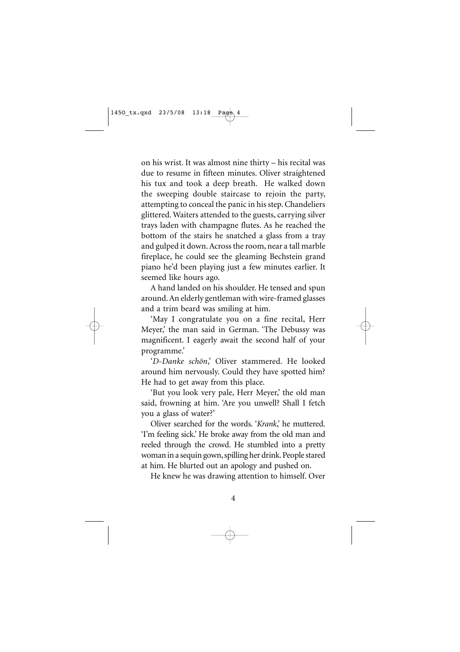on his wrist. It was almost nine thirty – his recital was due to resume in fifteen minutes. Oliver straightened his tux and took a deep breath. He walked down the sweeping double staircase to rejoin the party, attempting to conceal the panic in his step. Chandeliers glittered. Waiters attended to the guests, carrying silver trays laden with champagne flutes. As he reached the bottom of the stairs he snatched a glass from a tray and gulped it down. Across the room, near a tall marble fireplace, he could see the gleaming Bechstein grand piano he'd been playing just a few minutes earlier. It seemed like hours ago.

A hand landed on his shoulder. He tensed and spun around. An elderly gentleman with wire-framed glasses and a trim beard was smiling at him.

'May I congratulate you on a fine recital, Herr Meyer,' the man said in German. 'The Debussy was magnificent. I eagerly await the second half of your programme.'

'*D-Danke schön*,' Oliver stammered. He looked around him nervously. Could they have spotted him? He had to get away from this place.

'But you look very pale, Herr Meyer,' the old man said, frowning at him. 'Are you unwell? Shall I fetch you a glass of water?'

Oliver searched for the words. '*Krank*,' he muttered. 'I'm feeling sick.' He broke away from the old man and reeled through the crowd. He stumbled into a pretty woman in a sequin gown,spilling her drink.People stared at him. He blurted out an apology and pushed on.

He knew he was drawing attention to himself. Over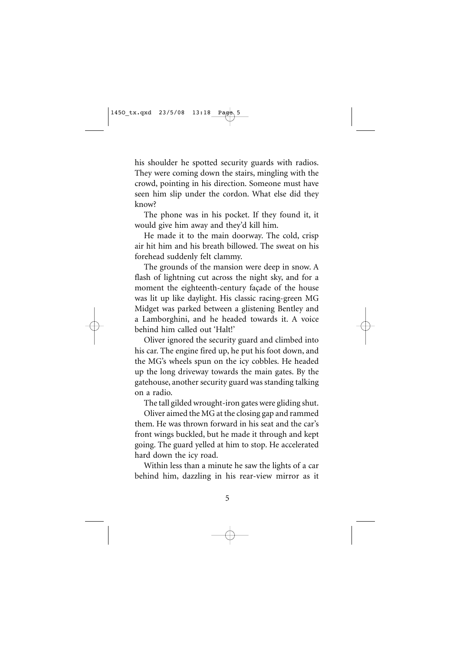his shoulder he spotted security guards with radios. They were coming down the stairs, mingling with the crowd, pointing in his direction. Someone must have seen him slip under the cordon. What else did they know?

The phone was in his pocket. If they found it, it would give him away and they'd kill him.

He made it to the main doorway. The cold, crisp air hit him and his breath billowed. The sweat on his forehead suddenly felt clammy.

The grounds of the mansion were deep in snow. A flash of lightning cut across the night sky, and for a moment the eighteenth-century façade of the house was lit up like daylight. His classic racing-green MG Midget was parked between a glistening Bentley and a Lamborghini, and he headed towards it. A voice behind him called out 'Halt!'

Oliver ignored the security guard and climbed into his car. The engine fired up, he put his foot down, and the MG's wheels spun on the icy cobbles. He headed up the long driveway towards the main gates. By the gatehouse, another security guard was standing talking on a radio.

The tall gilded wrought-iron gates were gliding shut.

Oliver aimed the MG at the closing gap and rammed them. He was thrown forward in his seat and the car's front wings buckled, but he made it through and kept going. The guard yelled at him to stop. He accelerated hard down the icy road.

Within less than a minute he saw the lights of a car behind him, dazzling in his rear-view mirror as it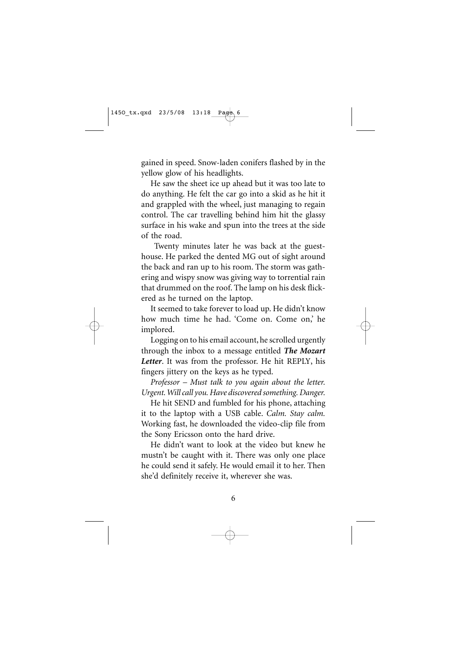gained in speed. Snow-laden conifers flashed by in the yellow glow of his headlights.

He saw the sheet ice up ahead but it was too late to do anything. He felt the car go into a skid as he hit it and grappled with the wheel, just managing to regain control. The car travelling behind him hit the glassy surface in his wake and spun into the trees at the side of the road.

Twenty minutes later he was back at the guesthouse. He parked the dented MG out of sight around the back and ran up to his room. The storm was gathering and wispy snow was giving way to torrential rain that drummed on the roof. The lamp on his desk flickered as he turned on the laptop.

It seemed to take forever to load up. He didn't know how much time he had. 'Come on. Come on,' he implored.

Logging on to his email account, he scrolled urgently through the inbox to a message entitled *The Mozart Letter*. It was from the professor. He hit REPLY, his fingers jittery on the keys as he typed.

*Professor – Must talk to you again about the letter. Urgent. Will call you. Have discovered something. Danger.*

He hit SEND and fumbled for his phone, attaching it to the laptop with a USB cable. *Calm. Stay calm.* Working fast, he downloaded the video-clip file from the Sony Ericsson onto the hard drive.

He didn't want to look at the video but knew he mustn't be caught with it. There was only one place he could send it safely. He would email it to her. Then she'd definitely receive it, wherever she was.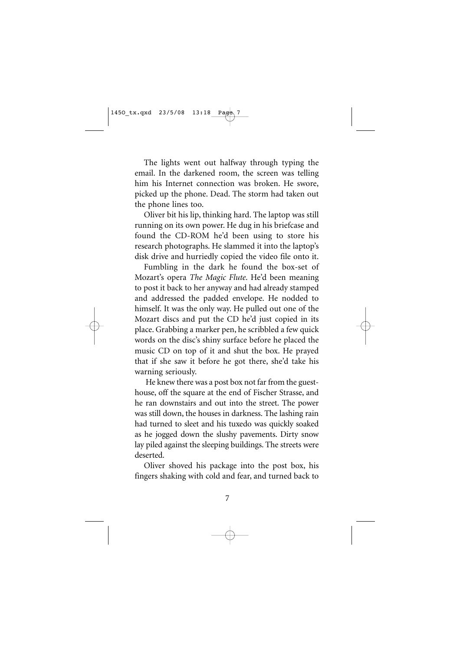The lights went out halfway through typing the email. In the darkened room, the screen was telling him his Internet connection was broken. He swore, picked up the phone. Dead. The storm had taken out the phone lines too.

Oliver bit his lip, thinking hard. The laptop was still running on its own power. He dug in his briefcase and found the CD-ROM he'd been using to store his research photographs. He slammed it into the laptop's disk drive and hurriedly copied the video file onto it.

Fumbling in the dark he found the box-set of Mozart's opera *The Magic Flute*. He'd been meaning to post it back to her anyway and had already stamped and addressed the padded envelope. He nodded to himself. It was the only way. He pulled out one of the Mozart discs and put the CD he'd just copied in its place. Grabbing a marker pen, he scribbled a few quick words on the disc's shiny surface before he placed the music CD on top of it and shut the box. He prayed that if she saw it before he got there, she'd take his warning seriously.

He knew there was a post box not far from the guesthouse, off the square at the end of Fischer Strasse, and he ran downstairs and out into the street. The power was still down, the houses in darkness. The lashing rain had turned to sleet and his tuxedo was quickly soaked as he jogged down the slushy pavements. Dirty snow lay piled against the sleeping buildings. The streets were deserted.

Oliver shoved his package into the post box, his fingers shaking with cold and fear, and turned back to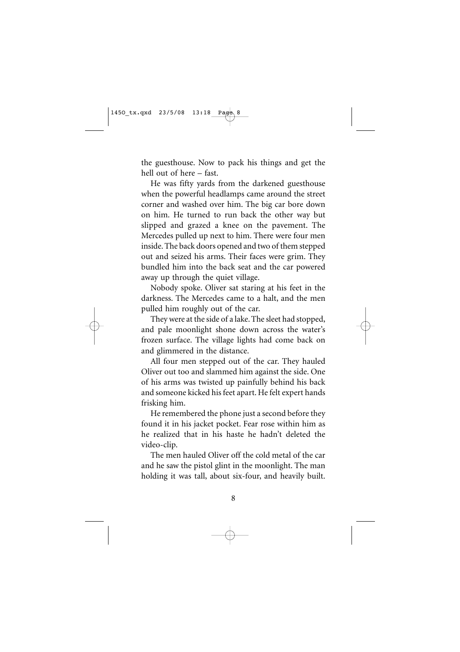the guesthouse. Now to pack his things and get the hell out of here – fast.

He was fifty yards from the darkened guesthouse when the powerful headlamps came around the street corner and washed over him. The big car bore down on him. He turned to run back the other way but slipped and grazed a knee on the pavement. The Mercedes pulled up next to him. There were four men inside. The back doors opened and two of them stepped out and seized his arms. Their faces were grim. They bundled him into the back seat and the car powered away up through the quiet village.

Nobody spoke. Oliver sat staring at his feet in the darkness. The Mercedes came to a halt, and the men pulled him roughly out of the car.

They were at the side of a lake. The sleet had stopped, and pale moonlight shone down across the water's frozen surface. The village lights had come back on and glimmered in the distance.

All four men stepped out of the car. They hauled Oliver out too and slammed him against the side. One of his arms was twisted up painfully behind his back and someone kicked his feet apart. He felt expert hands frisking him.

He remembered the phone just a second before they found it in his jacket pocket. Fear rose within him as he realized that in his haste he hadn't deleted the video-clip.

The men hauled Oliver off the cold metal of the car and he saw the pistol glint in the moonlight. The man holding it was tall, about six-four, and heavily built.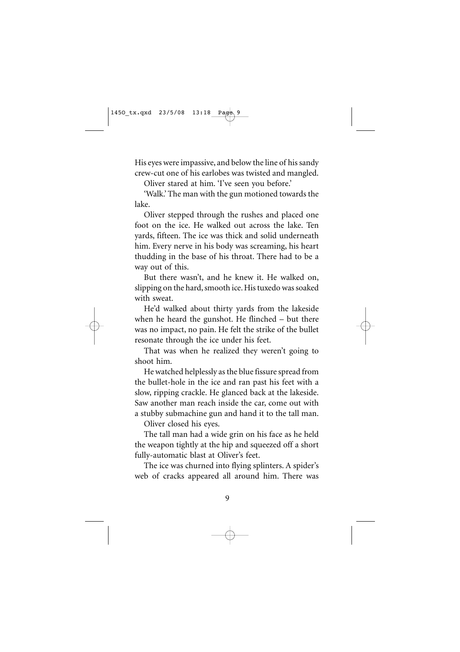His eyes were impassive, and below the line of his sandy crew-cut one of his earlobes was twisted and mangled.

Oliver stared at him. 'I've seen you before.'

'Walk.' The man with the gun motioned towards the lake.

Oliver stepped through the rushes and placed one foot on the ice. He walked out across the lake. Ten yards, fifteen. The ice was thick and solid underneath him. Every nerve in his body was screaming, his heart thudding in the base of his throat. There had to be a way out of this.

But there wasn't, and he knew it. He walked on, slipping on the hard, smooth ice. His tuxedo was soaked with sweat.

He'd walked about thirty yards from the lakeside when he heard the gunshot. He flinched – but there was no impact, no pain. He felt the strike of the bullet resonate through the ice under his feet.

That was when he realized they weren't going to shoot him.

He watched helplessly as the blue fissure spread from the bullet-hole in the ice and ran past his feet with a slow, ripping crackle. He glanced back at the lakeside. Saw another man reach inside the car, come out with a stubby submachine gun and hand it to the tall man.

Oliver closed his eyes.

The tall man had a wide grin on his face as he held the weapon tightly at the hip and squeezed off a short fully-automatic blast at Oliver's feet.

The ice was churned into flying splinters. A spider's web of cracks appeared all around him. There was